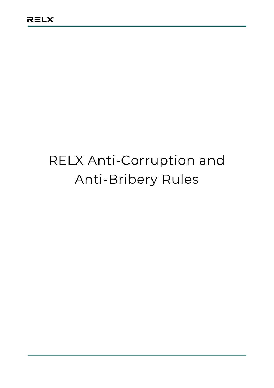# RELX Anti-Corruption and Anti-Bribery Rules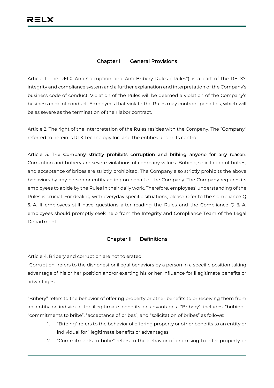# **Chapter I General Provisions**

Article 1. The RELX Anti-Corruption and Anti-Bribery Rules ("Rules") is a part of the RELX's integrity and compliance system and a further explanation and interpretation of the Company's business code of conduct. Violation of the Rules will be deemed a violation of the Company's business code of conduct. Employees that violate the Rules may confront penalties, which will be as severe as the termination of their labor contract.

Article 2. The right of the interpretation of the Rules resides with the Company. The "Company" referred to herein is RLX Technology Inc. and the entities under its control.

Article 3. **The Company strictly prohibits corruption and bribing anyone for any reason.** Corruption and bribery are severe violations of company values. Bribing, solicitation of bribes, and acceptance of bribes are strictly prohibited. The Company also strictly prohibits the above behaviors by any person or entity acting on behalf of the Company. The Company requires its employees to abide by the Rules in their daily work. Therefore, employees' understanding of the Rules is crucial. For dealing with everyday specific situations, please refer to the Compliance Q & A. If employees still have questions after reading the Rules and the Compliance Q & A, employees should promptly seek help from the Integrity and Compliance Team of the Legal Department.

#### **Chapter II Definitions**

Article 4. Bribery and corruption are not tolerated.

"Corruption" refers to the dishonest or illegal behaviors by a person in a specific position taking advantage of his or her position and/or exerting his or her influence for illegitimate benefits or advantages.

"Bribery" refers to the behavior of offering property or other benefits to or receiving them from an entity or individual for illegitimate benefits or advantages. "Bribery" includes "bribing," "commitments to bribe", "acceptance of bribes", and "solicitation of bribes" as follows:

- 1. "Bribing" refers to the behavior of offering property or other benefits to an entity or individual for illegitimate benefits or advantages.
- 2. "Commitments to bribe" refers to the behavior of promising to offer property or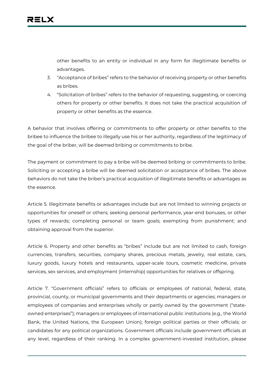other benefits to an entity or individual in any form for illegitimate benefits or advantages.

- 3. "Acceptance of bribes" refers to the behavior of receiving property or other benefits as bribes.
- 4. "Solicitation of bribes" refers to the behavior of requesting, suggesting, or coercing others for property or other benefits. It does not take the practical acquisition of property or other benefits as the essence.

A behavior that involves offering or commitments to offer property or other benefits to the bribee to influence the bribee to illegally use his or her authority, regardless of the legitimacy of the goal of the briber, will be deemed bribing or commitments to bribe.

The payment or commitment to pay a bribe will be deemed bribing or commitments to bribe. Soliciting or accepting a bribe will be deemed solicitation or acceptance of bribes. The above behaviors do not take the briber's practical acquisition of illegitimate benefits or advantages as the essence.

Article 5. Illegitimate benefits or advantages include but are not limited to winning projects or opportunities for oneself or others; seeking personal performance, year-end bonuses, or other types of rewards; completing personal or team goals; exempting from punishment; and obtaining approval from the superior.

Article 6. Property and other benefits as "bribes" include but are not limited to cash, foreign currencies, transfers, securities, company shares, precious metals, jewelry, real estate, cars, luxury goods, luxury hotels and restaurants, upper-scale tours, cosmetic medicine, private services, sex services, and employment (internship) opportunities for relatives or offspring.

Article 7. "Government officials" refers to officials or employees of national, federal, state, provincial, county, or municipal governments and their departments or agencies; managers or employees of companies and enterprises wholly or partly owned by the government ("stateowned enterprises"); managers or employees of international public institutions (e.g., the World Bank, the United Nations, the European Union); foreign political parties or their officials; or candidates for any political organizations. Government officials include government officials at any level, regardless of their ranking. In a complex government-invested institution, please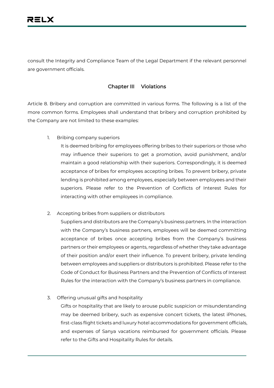consult the Integrity and Compliance Team of the Legal Department if the relevant personnel are government officials.

# **Chapter III Violations**

Article 8. Bribery and corruption are committed in various forms. The following is a list of the more common forms. Employees shall understand that bribery and corruption prohibited by the Company are not limited to these examples:

1. Bribing company superiors

It is deemed bribing for employees offering bribes to their superiors or those who may influence their superiors to get a promotion, avoid punishment, and/or maintain a good relationship with their superiors. Correspondingly, it is deemed acceptance of bribes for employees accepting bribes. To prevent bribery, private lending is prohibited among employees, especially between employees and their superiors. Please refer to the Prevention of Conflicts of Interest Rules for interacting with other employees in compliance.

2. Accepting bribes from suppliers or distributors

Suppliers and distributors are the Company's business partners. In the interaction with the Company's business partners, employees will be deemed committing acceptance of bribes once accepting bribes from the Company's business partners or their employees or agents, regardless of whether they take advantage of their position and/or exert their influence. To prevent bribery, private lending between employees and suppliers or distributors is prohibited. Please refer to the Code of Conduct for Business Partners and the Prevention of Conflicts of Interest Rules for the interaction with the Company's business partners in compliance.

3. Offering unusual gifts and hospitality

Gifts or hospitality that are likely to arouse public suspicion or misunderstanding may be deemed bribery, such as expensive concert tickets, the latest iPhones, first-class flight tickets and luxury hotel accommodations for government officials, and expenses of Sanya vacations reimbursed for government officials. Please refer to the Gifts and Hospitality Rules for details.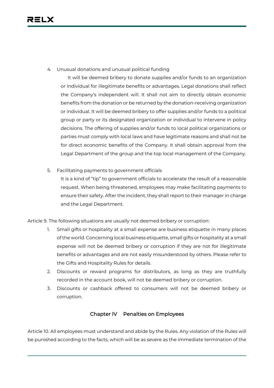4. Unusual donations and unusual political funding

It will be deemed bribery to donate supplies and/or funds to an organization or individual for illegitimate benefits or advantages. Legal donations shall reflect the Company's independent will. It shall not aim to directly obtain economic benefits from the donation or be returned by the donation-receiving organization or individual. It will be deemed bribery to offer supplies and/or funds to a political group or party or its designated organization or individual to intervene in policy decisions. The offering of supplies and/or funds to local political organizations or parties must comply with local laws and have legitimate reasons and shall not be for direct economic benefits of the Company. It shall obtain approval from the Legal Department of the group and the top local management of the Company.

5. Facilitating payments to government officials

It is a kind of "tip" to government officials to accelerate the result of a reasonable request. When being threatened, employees may make facilitating payments to ensure their safety. After the incident, they shall report to their manager in charge and the Legal Department.

Article 9. The following situations are usually not deemed bribery or corruption:

- 1. Small gifts or hospitality at a small expense are business etiquette in many places of the world. Concerning local business etiquette, small gifts or hospitality at a small expense will not be deemed bribery or corruption if they are not for illegitimate benefits or advantages and are not easily misunderstood by others. Please refer to the Gifts and Hospitality Rules for details.
- 2. Discounts or reward programs for distributors, as long as they are truthfully recorded in the account book, will not be deemed bribery or corruption.
- 3. Discounts or cashback offered to consumers will not be deemed bribery or corruption.

#### **Chapter IV Penalties on Employees**

Article 10. All employees must understand and abide by the Rules. Any violation of the Rules will be punished according to the facts, which will be as severe as the immediate termination of the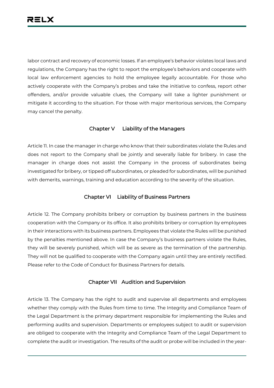labor contract and recovery of economic losses. If an employee's behavior violates local laws and regulations, the Company has the right to report the employee's behaviors and cooperate with local law enforcement agencies to hold the employee legally accountable. For those who actively cooperate with the Company's probes and take the initiative to confess, report other offenders, and/or provide valuable clues, the Company will take a lighter punishment or mitigate it according to the situation. For those with major meritorious services, the Company may cancel the penalty.

### **Chapter V Liability of the Managers**

Article 11. In case the manager in charge who know that their subordinates violate the Rules and does not report to the Company shall be jointly and severally liable for bribery. In case the manager in charge does not assist the Company in the process of subordinates being investigated for bribery, or tipped off subordinates, or pleaded for subordinates, will be punished with demerits, warnings, training and education according to the severity of the situation.

# **Chapter VI Liability of Business Partners**

Article 12. The Company prohibits bribery or corruption by business partners in the business cooperation with the Company or its office. It also prohibits bribery or corruption by employees in their interactions with its business partners. Employees that violate the Rules will be punished by the penalties mentioned above. In case the Company's business partners violate the Rules, they will be severely punished, which will be as severe as the termination of the partnership. They will not be qualified to cooperate with the Company again until they are entirely rectified. Please refer to the Code of Conduct for Business Partners for details.

# **Chapter VII Audition and Supervision**

Article 13. The Company has the right to audit and supervise all departments and employees whether they comply with the Rules from time to time. The Integrity and Compliance Team of the Legal Department is the primary department responsible for implementing the Rules and performing audits and supervision. Departments or employees subject to audit or supervision are obliged to cooperate with the Integrity and Compliance Team of the Legal Department to complete the audit or investigation. The results of the audit or probe will be included in the year